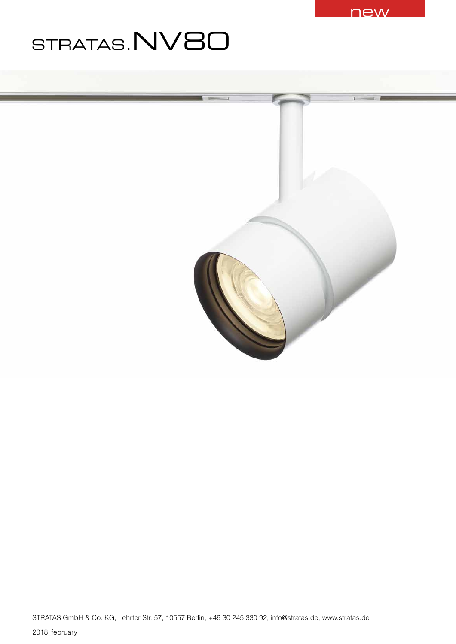

# STRATAS.NV80

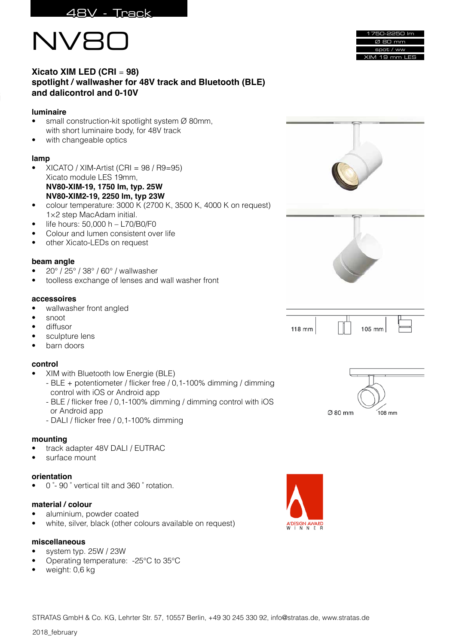



| 1750-2250 lm  |
|---------------|
| Ø 80 mm       |
| spot / ww     |
| XIM 19 mm LES |

# **Xicato XIM LED (CRI** = **98) spotlight / wallwasher for 48V track and Bluetooth (BLE) and dalicontrol and 0-10V**

## **luminaire**

- small construction-kit spotlight system Ø 80mm, with short luminaire body, for 48V track
- with changeable optics

## **lamp**

- XICATO / XIM-Artist (CRI = 98 / R9=95) Xicato module LES 19mm, **NV80-XIM-19, 1750 Im, typ. 25W NV80-XIM2-19, 2250 lm, typ 23W**
- colour temperature: 3000 K (2700 K, 3500 K, 4000 K on request) 1×2 step MacAdam initial.
- $\bullet$  life hours: 50,000 h L70/B0/F0
- Colour and lumen consistent over life
- other Xicato-LEDs on request

## **beam angle**

- 20° / 25° / 38° / 60° / wallwasher
- toolless exchange of lenses and wall washer front

## **accessoires**

- wallwasher front angled
- snoot
- diffusor
- sculpture lens
- barn doors

## **control**

- XIM with Bluetooth low Energie (BLE)
	- BLE + potentiometer / flicker free / 0,1-100% dimming / dimming control with iOS or Android app
	- BLE / flicker free / 0,1-100% dimming / dimming control with iOS or Android app
	- DALI / flicker free / 0,1-100% dimming

## **mounting**

- track adapter 48V DALI / EUTRAC
- surface mount

## **orientation**

• 0 ̊- 90 ̊ vertical tilt and 360 ̊ rotation.

## **material / colour**

- aluminium, powder coated
- white, silver, black (other colours available on request)

## **miscellaneous**

- system typ. 25W / 23W
- Operating temperature: -25°C to 35°C
- weight: 0,6 kg







2018\_february